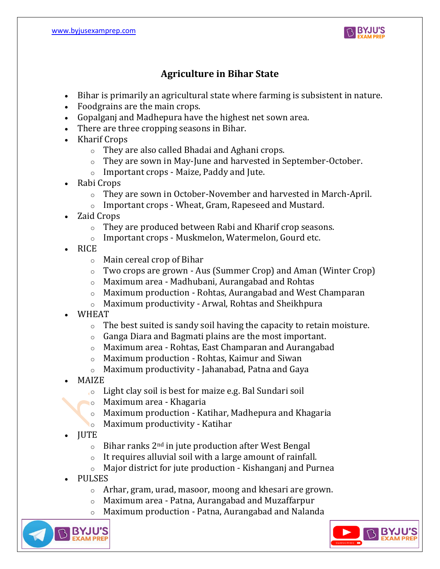

# **Agriculture in Bihar State**

- Bihar is primarily an agricultural state where farming is subsistent in nature.
- Foodgrains are the main crops.
- Gopalganj and Madhepura have the highest net sown area.
- There are three cropping seasons in Bihar.
- Kharif Crops
	- o They are also called Bhadai and Aghani crops.
	- o They are sown in May-June and harvested in September-October.
	- o Important crops Maize, Paddy and Jute.
- Rabi Crops
	- o They are sown in October-November and harvested in March-April.
	- o Important crops Wheat, Gram, Rapeseed and Mustard.
- Zaid Crops
	- o They are produced between Rabi and Kharif crop seasons.
	- o Important crops Muskmelon, Watermelon, Gourd etc.
- RICE
	- o Main cereal crop of Bihar
	- o Two crops are grown Aus (Summer Crop) and Aman (Winter Crop)
	- o Maximum area Madhubani, Aurangabad and Rohtas
	- o Maximum production Rohtas, Aurangabad and West Champaran
	- o Maximum productivity Arwal, Rohtas and Sheikhpura
- WHEAT
	- $\circ$  The best suited is sandy soil having the capacity to retain moisture.
	- o Ganga Diara and Bagmati plains are the most important.
	- o Maximum area Rohtas, East Champaran and Aurangabad
	- o Maximum production Rohtas, Kaimur and Siwan
	- o Maximum productivity Jahanabad, Patna and Gaya
- MAIZE
	- o Light clay soil is best for maize e.g. Bal Sundari soil
	- o Maximum area Khagaria
	- o Maximum production Katihar, Madhepura and Khagaria
	- o Maximum productivity Katihar
- JUTE
	- $\circ$  Bihar ranks 2<sup>nd</sup> in jute production after West Bengal
	- o It requires alluvial soil with a large amount of rainfall.
	- o Major district for jute production Kishanganj and Purnea
- PULSES
	- o Arhar, gram, urad, masoor, moong and khesari are grown.
	- o Maximum area Patna, Aurangabad and Muzaffarpur
	- Maximum production Patna, Aurangabad and Nalanda



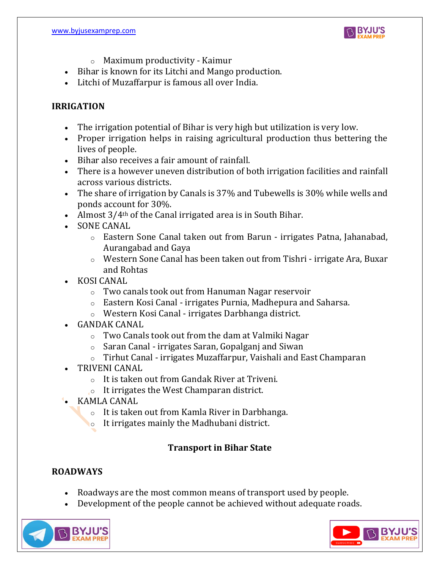

- o Maximum productivity Kaimur
- Bihar is known for its Litchi and Mango production.
- Litchi of Muzaffarpur is famous all over India.

#### **IRRIGATION**

- The irrigation potential of Bihar is very high but utilization is very low.
- Proper irrigation helps in raising agricultural production thus bettering the lives of people.
- Bihar also receives a fair amount of rainfall.
- There is a however uneven distribution of both irrigation facilities and rainfall across various districts.
- The share of irrigation by Canals is 37% and Tubewells is 30% while wells and ponds account for 30%.
- Almost 3/4<sup>th</sup> of the Canal irrigated area is in South Bihar.
- SONE CANAL
	- o Eastern Sone Canal taken out from Barun irrigates Patna, Jahanabad, Aurangabad and Gaya
	- o Western Sone Canal has been taken out from Tishri irrigate Ara, Buxar and Rohtas
- KOSI CANAL
	- o Two canals took out from Hanuman Nagar reservoir
	- o Eastern Kosi Canal irrigates Purnia, Madhepura and Saharsa.
	- o Western Kosi Canal irrigates Darbhanga district.
- GANDAK CANAL
	- o Two Canals took out from the dam at Valmiki Nagar
	- o Saran Canal irrigates Saran, Gopalganj and Siwan
	- o Tirhut Canal irrigates Muzaffarpur, Vaishali and East Champaran
- TRIVENI CANAL
	- o It is taken out from Gandak River at Triveni.
	- o It irrigates the West Champaran district.
- KAMLA CANAL
	- o It is taken out from Kamla River in Darbhanga.
	- $\circ$  It irrigates mainly the Madhubani district.

## **Transport in Bihar State**

## **ROADWAYS**

- Roadways are the most common means of transport used by people.
- Development of the people cannot be achieved without adequate roads.



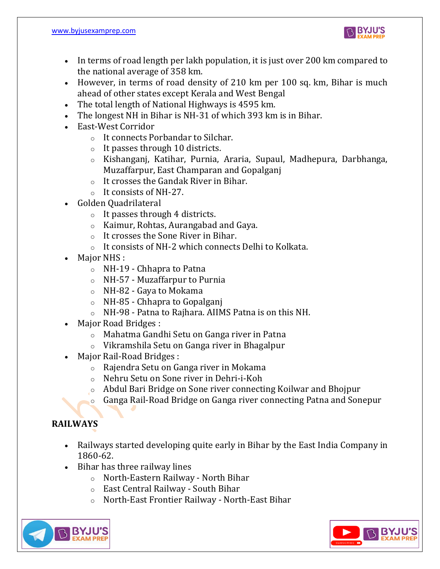

- In terms of road length per lakh population, it is just over 200 km compared to the national average of 358 km.
- However, in terms of road density of 210 km per 100 sq. km, Bihar is much ahead of other states except Kerala and West Bengal
- The total length of National Highways is 4595 km.
- The longest NH in Bihar is NH-31 of which 393 km is in Bihar.
- East-West Corridor
	- o It connects Porbandar to Silchar.
	- o It passes through 10 districts.
	- o Kishanganj, Katihar, Purnia, Araria, Supaul, Madhepura, Darbhanga, Muzaffarpur, East Champaran and Gopalganj
	- o It crosses the Gandak River in Bihar.
	- o It consists of NH-27.
- Golden Quadrilateral
	- o It passes through 4 districts.
	- o Kaimur, Rohtas, Aurangabad and Gaya.
	- o It crosses the Sone River in Bihar.
	- o It consists of NH-2 which connects Delhi to Kolkata.
- Major NHS :
	- o NH-19 Chhapra to Patna
	- o NH-57 Muzaffarpur to Purnia
	- o NH-82 Gaya to Mokama
	- o NH-85 Chhapra to Gopalganj
	- o NH-98 Patna to Rajhara. AIIMS Patna is on this NH.
- Major Road Bridges :
	- o Mahatma Gandhi Setu on Ganga river in Patna
	- o Vikramshila Setu on Ganga river in Bhagalpur
- Major Rail-Road Bridges :
	- o Rajendra Setu on Ganga river in Mokama
	- o Nehru Setu on Sone river in Dehri-i-Koh
	- o Abdul Bari Bridge on Sone river connecting Koilwar and Bhojpur
	- o Ganga Rail-Road Bridge on Ganga river connecting Patna and Sonepur

# **RAILWAYS**

- Railways started developing quite early in Bihar by the East India Company in 1860-62.
- Bihar has three railway lines
	- o North-Eastern Railway North Bihar
	- o East Central Railway South Bihar
	- o North-East Frontier Railway North-East Bihar



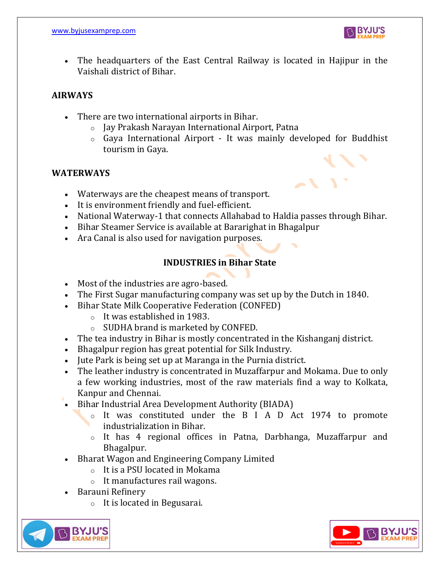

• The headquarters of the East Central Railway is located in Hajipur in the Vaishali district of Bihar.

#### **AIRWAYS**

- There are two international airports in Bihar.
	- o Jay Prakash Narayan International Airport, Patna
	- $\circ$  Gaya International Airport It was mainly developed for Buddhist tourism in Gaya.

#### **WATERWAYS**

- Waterways are the cheapest means of transport.
- It is environment friendly and fuel-efficient.
- National Waterway-1 that connects Allahabad to Haldia passes through Bihar.
- Bihar Steamer Service is available at Bararighat in Bhagalpur
- Ara Canal is also used for navigation purposes.

## **INDUSTRIES in Bihar State**

- Most of the industries are agro-based.
- The First Sugar manufacturing company was set up by the Dutch in 1840.
- Bihar State Milk Cooperative Federation (CONFED)
	- o It was established in 1983.
	- o SUDHA brand is marketed by CONFED.
- The tea industry in Bihar is mostly concentrated in the Kishanganj district.
- Bhagalpur region has great potential for Silk Industry.
- Jute Park is being set up at Maranga in the Purnia district.
- The leather industry is concentrated in Muzaffarpur and Mokama. Due to only a few working industries, most of the raw materials find a way to Kolkata, Kanpur and Chennai.
- Bihar Industrial Area Development Authority (BIADA)
	- o It was constituted under the B I A D Act 1974 to promote industrialization in Bihar.
	- o It has 4 regional offices in Patna, Darbhanga, Muzaffarpur and Bhagalpur.
- Bharat Wagon and Engineering Company Limited
	- o It is a PSU located in Mokama
	- o It manufactures rail wagons.
- Barauni Refinery
	- o It is located in Begusarai.